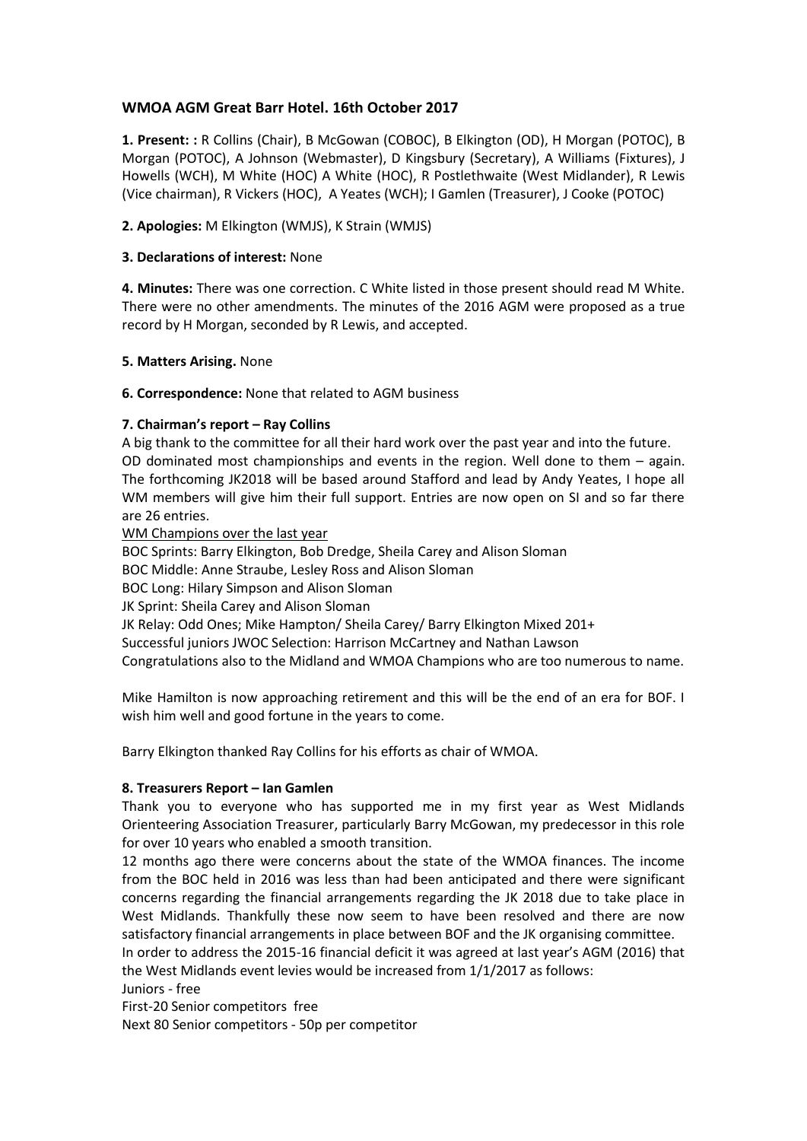# **WMOA AGM Great Barr Hotel. 16th October 2017**

**1. Present: :** R Collins (Chair), B McGowan (COBOC), B Elkington (OD), H Morgan (POTOC), B Morgan (POTOC), A Johnson (Webmaster), D Kingsbury (Secretary), A Williams (Fixtures), J Howells (WCH), M White (HOC) A White (HOC), R Postlethwaite (West Midlander), R Lewis (Vice chairman), R Vickers (HOC), A Yeates (WCH); I Gamlen (Treasurer), J Cooke (POTOC)

### **2. Apologies:** M Elkington (WMJS), K Strain (WMJS)

### **3. Declarations of interest:** None

**4. Minutes:** There was one correction. C White listed in those present should read M White. There were no other amendments. The minutes of the 2016 AGM were proposed as a true record by H Morgan, seconded by R Lewis, and accepted.

#### **5. Matters Arising.** None

## **6. Correspondence:** None that related to AGM business

## **7. Chairman's report – Ray Collins**

A big thank to the committee for all their hard work over the past year and into the future. OD dominated most championships and events in the region. Well done to them – again. The forthcoming JK2018 will be based around Stafford and lead by Andy Yeates, I hope all WM members will give him their full support. Entries are now open on SI and so far there are 26 entries.

WM Champions over the last year

BOC Sprints: Barry Elkington, Bob Dredge, Sheila Carey and Alison Sloman

BOC Middle: Anne Straube, Lesley Ross and Alison Sloman

BOC Long: Hilary Simpson and Alison Sloman

JK Sprint: Sheila Carey and Alison Sloman

JK Relay: Odd Ones; Mike Hampton/ Sheila Carey/ Barry Elkington Mixed 201+

Successful juniors JWOC Selection: Harrison McCartney and Nathan Lawson

Congratulations also to the Midland and WMOA Champions who are too numerous to name.

Mike Hamilton is now approaching retirement and this will be the end of an era for BOF. I wish him well and good fortune in the years to come.

Barry Elkington thanked Ray Collins for his efforts as chair of WMOA.

#### **8. Treasurers Report – Ian Gamlen**

Thank you to everyone who has supported me in my first year as West Midlands Orienteering Association Treasurer, particularly Barry McGowan, my predecessor in this role for over 10 years who enabled a smooth transition.

12 months ago there were concerns about the state of the WMOA finances. The income from the BOC held in 2016 was less than had been anticipated and there were significant concerns regarding the financial arrangements regarding the JK 2018 due to take place in West Midlands. Thankfully these now seem to have been resolved and there are now satisfactory financial arrangements in place between BOF and the JK organising committee.

In order to address the 2015-16 financial deficit it was agreed at last year's AGM (2016) that the West Midlands event levies would be increased from 1/1/2017 as follows:

#### Juniors - free

First-20 Senior competitors free

Next 80 Senior competitors - 50p per competitor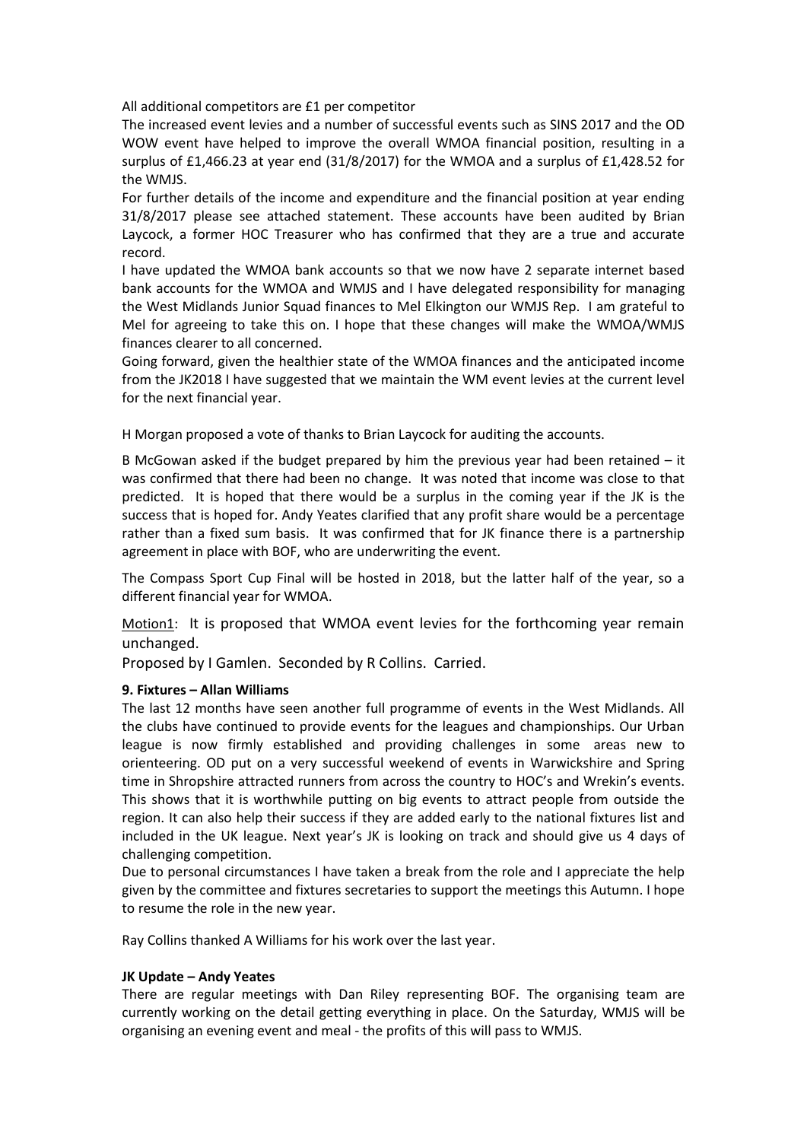All additional competitors are £1 per competitor

The increased event levies and a number of successful events such as SINS 2017 and the OD WOW event have helped to improve the overall WMOA financial position, resulting in a surplus of £1,466.23 at year end (31/8/2017) for the WMOA and a surplus of £1,428.52 for the WMJS.

For further details of the income and expenditure and the financial position at year ending 31/8/2017 please see attached statement. These accounts have been audited by Brian Laycock, a former HOC Treasurer who has confirmed that they are a true and accurate record.

I have updated the WMOA bank accounts so that we now have 2 separate internet based bank accounts for the WMOA and WMJS and I have delegated responsibility for managing the West Midlands Junior Squad finances to Mel Elkington our WMJS Rep. I am grateful to Mel for agreeing to take this on. I hope that these changes will make the WMOA/WMJS finances clearer to all concerned.

Going forward, given the healthier state of the WMOA finances and the anticipated income from the JK2018 I have suggested that we maintain the WM event levies at the current level for the next financial year.

H Morgan proposed a vote of thanks to Brian Laycock for auditing the accounts.

B McGowan asked if the budget prepared by him the previous year had been retained – it was confirmed that there had been no change. It was noted that income was close to that predicted. It is hoped that there would be a surplus in the coming year if the JK is the success that is hoped for. Andy Yeates clarified that any profit share would be a percentage rather than a fixed sum basis. It was confirmed that for JK finance there is a partnership agreement in place with BOF, who are underwriting the event.

The Compass Sport Cup Final will be hosted in 2018, but the latter half of the year, so a different financial year for WMOA.

Motion1: It is proposed that WMOA event levies for the forthcoming year remain unchanged.

Proposed by I Gamlen. Seconded by R Collins. Carried.

#### **9. Fixtures – Allan Williams**

The last 12 months have seen another full programme of events in the West Midlands. All the clubs have continued to provide events for the leagues and championships. Our Urban league is now firmly established and providing challenges in some areas new to orienteering. OD put on a very successful weekend of events in Warwickshire and Spring time in Shropshire attracted runners from across the country to HOC's and Wrekin's events. This shows that it is worthwhile putting on big events to attract people from outside the region. It can also help their success if they are added early to the national fixtures list and included in the UK league. Next year's JK is looking on track and should give us 4 days of challenging competition.

Due to personal circumstances I have taken a break from the role and I appreciate the help given by the committee and fixtures secretaries to support the meetings this Autumn. I hope to resume the role in the new year.

Ray Collins thanked A Williams for his work over the last year.

#### **JK Update – Andy Yeates**

There are regular meetings with Dan Riley representing BOF. The organising team are currently working on the detail getting everything in place. On the Saturday, WMJS will be organising an evening event and meal - the profits of this will pass to WMJS.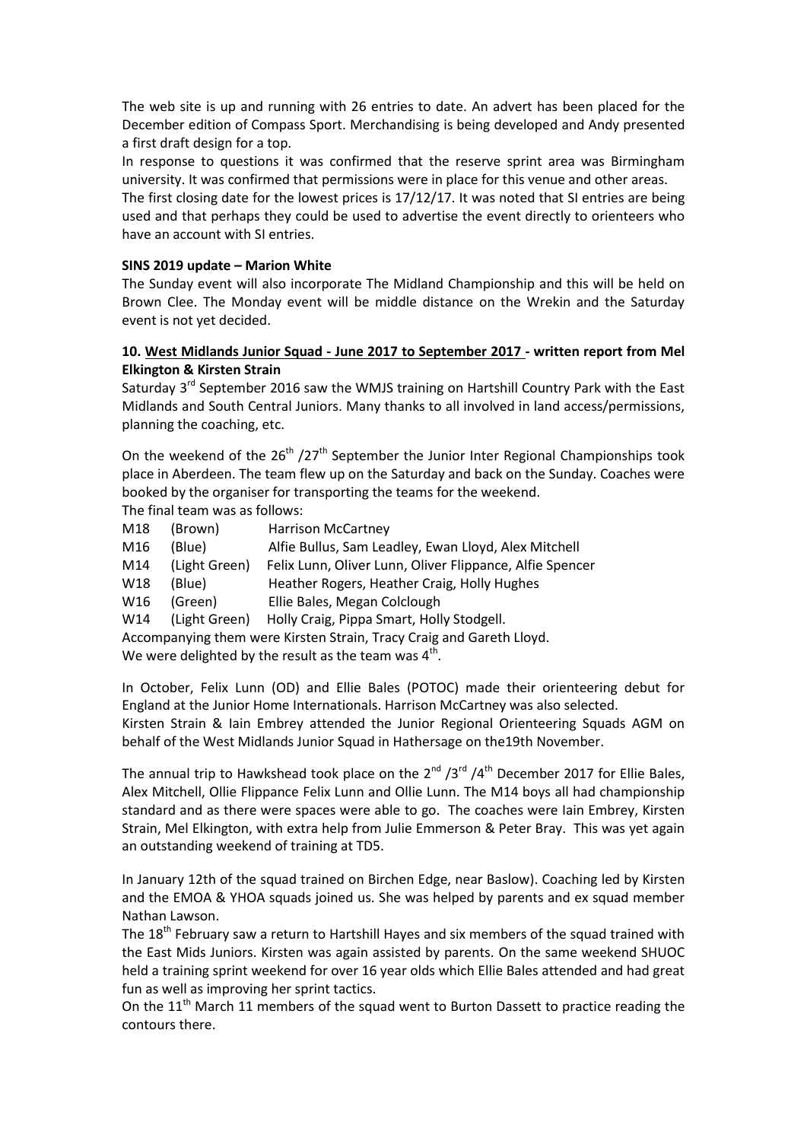The web site is up and running with 26 entries to date. An advert has been placed for the December edition of Compass Sport. Merchandising is being developed and Andy presented a first draft design for a top.

In response to questions it was confirmed that the reserve sprint area was Birmingham university. It was confirmed that permissions were in place for this venue and other areas.

The first closing date for the lowest prices is 17/12/17. It was noted that SI entries are being used and that perhaps they could be used to advertise the event directly to orienteers who have an account with SI entries.

### **SINS 2019 update – Marion White**

The Sunday event will also incorporate The Midland Championship and this will be held on Brown Clee. The Monday event will be middle distance on the Wrekin and the Saturday event is not yet decided.

## **10. West Midlands Junior Squad - June 2017 to September 2017 - written report from Mel Elkington & Kirsten Strain**

Saturday 3<sup>rd</sup> September 2016 saw the WMJS training on Hartshill Country Park with the East Midlands and South Central Juniors. Many thanks to all involved in land access/permissions, planning the coaching, etc.

On the weekend of the  $26<sup>th</sup>$  /27<sup>th</sup> September the Junior Inter Regional Championships took place in Aberdeen. The team flew up on the Saturday and back on the Sunday. Coaches were booked by the organiser for transporting the teams for the weekend.

The final team was as follows:

| M18                                                                  | (Brown)       | <b>Harrison McCartney</b>                                |  |  |  |
|----------------------------------------------------------------------|---------------|----------------------------------------------------------|--|--|--|
| M16                                                                  | (Blue)        | Alfie Bullus, Sam Leadley, Ewan Lloyd, Alex Mitchell     |  |  |  |
| M14                                                                  | (Light Green) | Felix Lunn, Oliver Lunn, Oliver Flippance, Alfie Spencer |  |  |  |
| W18                                                                  | (Blue)        | Heather Rogers, Heather Craig, Holly Hughes              |  |  |  |
| W16                                                                  | (Green)       | Ellie Bales, Megan Colclough                             |  |  |  |
| W14                                                                  | (Light Green) | Holly Craig, Pippa Smart, Holly Stodgell.                |  |  |  |
| Accompanying them were Kirsten Strain, Tracy Craig and Gareth Lloyd. |               |                                                          |  |  |  |
| We were delighted by the result as the team was $4th$ .              |               |                                                          |  |  |  |

In October, Felix Lunn (OD) and Ellie Bales (POTOC) made their orienteering debut for England at the Junior Home Internationals. Harrison McCartney was also selected.

Kirsten Strain & Iain Embrey attended the Junior Regional Orienteering Squads AGM on behalf of the West Midlands Junior Squad in Hathersage on the19th November.

The annual trip to Hawkshead took place on the  $2^{nd} / 3^{rd} / 4^{th}$  December 2017 for Ellie Bales, Alex Mitchell, Ollie Flippance Felix Lunn and Ollie Lunn. The M14 boys all had championship standard and as there were spaces were able to go. The coaches were Iain Embrey, Kirsten Strain, Mel Elkington, with extra help from Julie Emmerson & Peter Bray. This was yet again an outstanding weekend of training at TD5.

In January 12th of the squad trained on Birchen Edge, near Baslow). Coaching led by Kirsten and the EMOA & YHOA squads joined us. She was helped by parents and ex squad member Nathan Lawson.

The 18<sup>th</sup> February saw a return to Hartshill Hayes and six members of the squad trained with the East Mids Juniors. Kirsten was again assisted by parents. On the same weekend SHUOC held a training sprint weekend for over 16 year olds which Ellie Bales attended and had great fun as well as improving her sprint tactics.

On the  $11<sup>th</sup>$  March 11 members of the squad went to Burton Dassett to practice reading the contours there.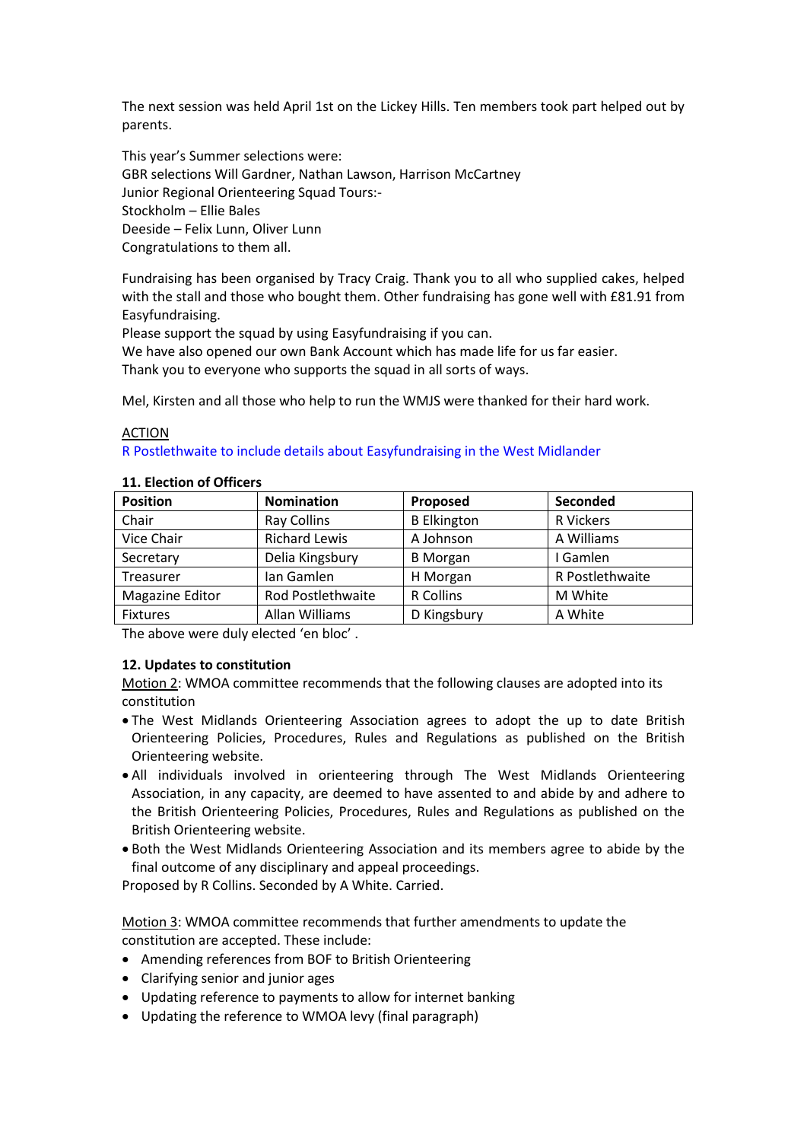The next session was held April 1st on the Lickey Hills. Ten members took part helped out by parents.

This year's Summer selections were: GBR selections Will Gardner, Nathan Lawson, Harrison McCartney Junior Regional Orienteering Squad Tours:- Stockholm – Ellie Bales Deeside – Felix Lunn, Oliver Lunn Congratulations to them all.

Fundraising has been organised by Tracy Craig. Thank you to all who supplied cakes, helped with the stall and those who bought them. Other fundraising has gone well with £81.91 from Easyfundraising.

Please support the squad by using Easyfundraising if you can.

We have also opened our own Bank Account which has made life for us far easier. Thank you to everyone who supports the squad in all sorts of ways.

Mel, Kirsten and all those who help to run the WMJS were thanked for their hard work.

#### ACTION

#### R Postlethwaite to include details about Easyfundraising in the West Midlander

| <b>Position</b> | <b>Nomination</b>    | Proposed           | Seconded        |
|-----------------|----------------------|--------------------|-----------------|
| Chair           | <b>Ray Collins</b>   | <b>B</b> Elkington | R Vickers       |
| Vice Chair      | <b>Richard Lewis</b> | A Johnson          | A Williams      |
| Secretary       | Delia Kingsbury      | <b>B</b> Morgan    | I Gamlen        |
| Treasurer       | Ian Gamlen           | H Morgan           | R Postlethwaite |
| Magazine Editor | Rod Postlethwaite    | R Collins          | M White         |
| <b>Fixtures</b> | Allan Williams       | D Kingsbury        | A White         |

#### **11. Election of Officers**

The above were duly elected 'en bloc' .

#### **12. Updates to constitution**

Motion 2: WMOA committee recommends that the following clauses are adopted into its constitution

- The West Midlands Orienteering Association agrees to adopt the up to date British Orienteering Policies, Procedures, Rules and Regulations as published on the British Orienteering website.
- All individuals involved in orienteering through The West Midlands Orienteering Association, in any capacity, are deemed to have assented to and abide by and adhere to the British Orienteering Policies, Procedures, Rules and Regulations as published on the British Orienteering website.
- Both the West Midlands Orienteering Association and its members agree to abide by the final outcome of any disciplinary and appeal proceedings.

Proposed by R Collins. Seconded by A White. Carried.

Motion 3: WMOA committee recommends that further amendments to update the constitution are accepted. These include:

- Amending references from BOF to British Orienteering
- Clarifying senior and junior ages
- Updating reference to payments to allow for internet banking
- Updating the reference to WMOA levy (final paragraph)